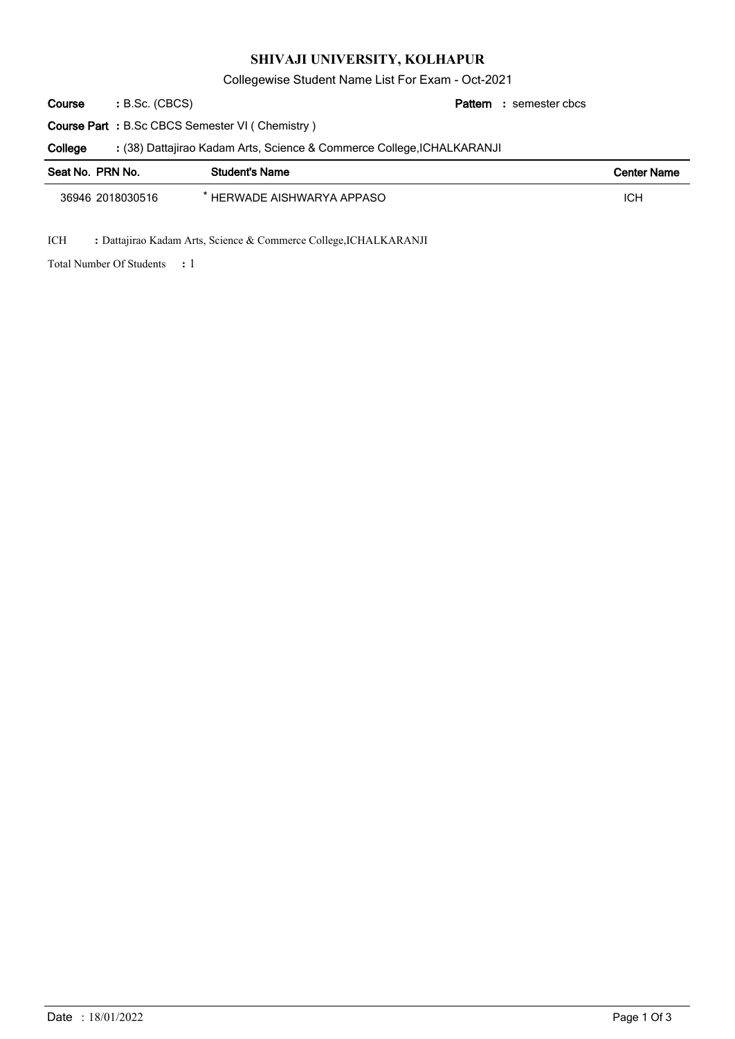## **SHIVAJI UNIVERSITY, KOLHAPUR**

Collegewise Student Name List For Exam - Oct-2021

semester cbcs **:** (38) Dattajirao Kadam Arts, Science & Commerce College,ICHALKARANJI **:** B.Sc. (CBCS) **: Pattern Course Part :** B.Sc CBCS Semester VI ( Chemistry ) **Course College**

| Seat No. PRN No. | <b>Student's Name</b>      | <b>Center Name</b> |
|------------------|----------------------------|--------------------|
| 36946 2018030516 | ' HERWADE AISHWARYA APPASO | ICH                |

ICH **:** Dattajirao Kadam Arts, Science & Commerce College,ICHALKARANJI

1 Total Number Of Students **:**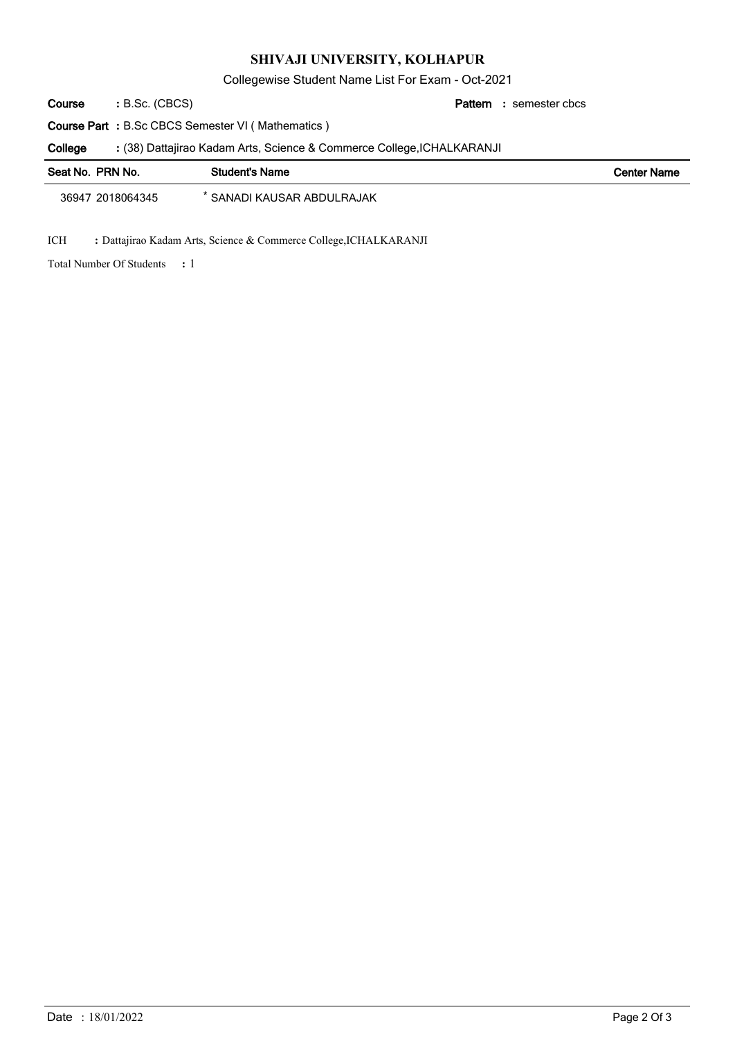## **SHIVAJI UNIVERSITY, KOLHAPUR**

Collegewise Student Name List For Exam - Oct-2021

B.Sc. (CBCS) **: Pattern Course**

semester cbcs **:**

**Course Part :** B.Sc CBCS Semester VI ( Mathematics )

(38) Dattajirao Kadam Arts, Science & Commerce College,ICHALKARANJI **: College**

| Seat No. PRN No. | <b>Student's Name</b>      | <b>Center Name</b> |
|------------------|----------------------------|--------------------|
| 36947 2018064345 | * SANADI KAUSAR ABDULRAJAK |                    |

ICH **:** Dattajirao Kadam Arts, Science & Commerce College,ICHALKARANJI

1 Total Number Of Students **:**